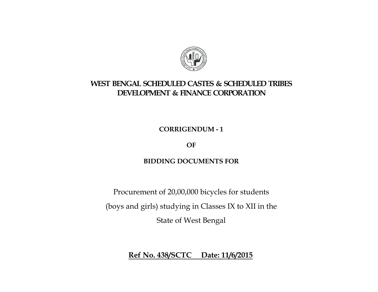

## **WEST BENGAL SCHEDULED CASTES & SCHEDULED TRIBES DEVELOPMENT & FINANCE CORPORATION**

**CORRIGENDUM - 1** 

**OF** 

## **BIDDING DOCUMENTS FOR**

Procurement of 20,00,000 bicycles for students (boys and girls) studying in Classes IX to XII in the State of West Bengal

**Ref No. 438/SCTC Date: 11/6/2015**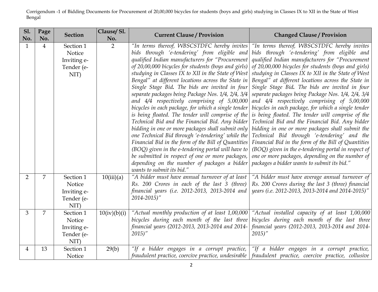| <b>S1.</b><br>No. | Page<br>No.    | <b>Section</b>                                           | Clause/Sl.<br>No. | <b>Current Clause / Provision</b>                                                                                                                                                                                                                                                                                                                                                                                                                                                                                                                                                                                                                                                                                                                                                                                                                                                                                                                                                               | <b>Changed Clause / Provision</b>                                                                                                                                                                                                                                                                                                                                                                                                                                                                                                                                                                                                                                                                                                                                                                                                                                                                                                                                 |
|-------------------|----------------|----------------------------------------------------------|-------------------|-------------------------------------------------------------------------------------------------------------------------------------------------------------------------------------------------------------------------------------------------------------------------------------------------------------------------------------------------------------------------------------------------------------------------------------------------------------------------------------------------------------------------------------------------------------------------------------------------------------------------------------------------------------------------------------------------------------------------------------------------------------------------------------------------------------------------------------------------------------------------------------------------------------------------------------------------------------------------------------------------|-------------------------------------------------------------------------------------------------------------------------------------------------------------------------------------------------------------------------------------------------------------------------------------------------------------------------------------------------------------------------------------------------------------------------------------------------------------------------------------------------------------------------------------------------------------------------------------------------------------------------------------------------------------------------------------------------------------------------------------------------------------------------------------------------------------------------------------------------------------------------------------------------------------------------------------------------------------------|
| $\mathbf{1}$      | $\overline{4}$ | Section 1<br>Notice<br>Inviting e-<br>Tender (e-<br>NIT) | $\overline{2}$    | "In terms thereof, WBSCSTDFC hereby invites<br>bids through 'e-tendering' from eligible and<br>qualified Indian manufacturers for "Procurement<br>of 20,00,000 bicycles for students (boys and girls)<br>studying in Classes IX to XII in the State of West<br>Bengal" at different locations across the State in<br>Single Stage Bid. The bids are invited in four<br>separate packages being Package Nos. 1/4, 2/4, 3/4<br>and 4/4 respectively comprising of 5,00,000<br>bicycles in each package, for which a single tender<br>is being floated. The tender will comprise of the<br>Technical Bid and the Financial Bid. Any bidder<br>bidding in one or more packages shall submit only<br>one Technical Bid through 'e-tendering' while the<br>Financial Bid in the form of the Bill of Quantities<br>(BOQ) given in the e-tendering portal will have to<br>be submitted in respect of one or more packages,<br>depending on the number of packages a bidder<br>wants to submit its bid." | "In terms thereof, WBSCSTDFC hereby invites<br>bids through 'e-tendering' from eligible and<br>qualified Indian manufacturers for "Procurement<br>of 20,00,000 bicycles for students (boys and girls)<br>studying in Classes IX to XII in the State of West<br>Bengal" at different locations across the State in<br>Single Stage Bid. The bids are invited in four<br>separate packages being Package Nos. 1/4, 2/4, 3/4<br>and $4/4$ respectively comprising of $5,00,000$<br>bicycles in each package, for which a single tender<br>is being floated. The tender will comprise of the<br>Technical Bid and the Financial Bid. Any bidder<br>bidding in one or more packages shall submit the<br>Technical Bid through 'e-tendering' and the<br>Financial Bid in the form of the Bill of Quantities<br>$(BOQ)$ given in the e-tendering portal in respect of<br>one or more packages, depending on the number of<br>packages a bidder wants to submit its bid." |
| $\overline{2}$    | 7              | Section 1<br>Notice<br>Inviting e-<br>Tender (e-<br>NIT) | 10(iii)(a)        | "A bidder must have annual turnover of at least<br>Rs. 200 Crores in each of the last 3 (three)<br>financial years (i.e. 2012-2013, 2013-2014 and<br>$2014 - 2015$ "                                                                                                                                                                                                                                                                                                                                                                                                                                                                                                                                                                                                                                                                                                                                                                                                                            | "A bidder must have average annual turnover of<br>Rs. 200 Crores during the last 3 (three) financial<br>years (i.e. 2012-2013, 2013-2014 and 2014-2015)"                                                                                                                                                                                                                                                                                                                                                                                                                                                                                                                                                                                                                                                                                                                                                                                                          |
| 3                 | 7              | Section 1<br>Notice<br>Inviting e-<br>Tender (e-<br>NIT) | 10(iv)(b)(i)      | "Actual monthly production of at least 1,00,000<br>bicycles during each month of the last three<br>financial years (2012-2013, 2013-2014 and 2014-<br>2015)''                                                                                                                                                                                                                                                                                                                                                                                                                                                                                                                                                                                                                                                                                                                                                                                                                                   | "Actual installed capacity of at least 1,00,000<br>bicycles during each month of the last three<br>financial years (2012-2013, 2013-2014 and 2014-<br>2015'                                                                                                                                                                                                                                                                                                                                                                                                                                                                                                                                                                                                                                                                                                                                                                                                       |
| 4                 | 13             | Section 1<br>Notice                                      | 29(b)             |                                                                                                                                                                                                                                                                                                                                                                                                                                                                                                                                                                                                                                                                                                                                                                                                                                                                                                                                                                                                 | "If a bidder engages in a corrupt practice,   "If a bidder engages in a corrupt practice,  <br>fraudulent practice, coercive practice, undesirable   fraudulent practice, coercive practice, collusive                                                                                                                                                                                                                                                                                                                                                                                                                                                                                                                                                                                                                                                                                                                                                            |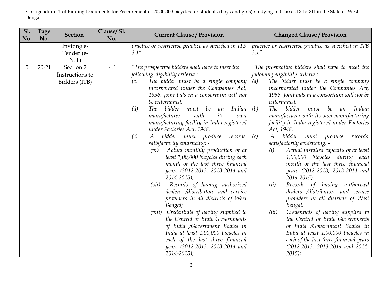| <b>Sl.</b><br>No. | Page<br>No. | <b>Section</b>                                | Clause/Sl.<br>No. | <b>Current Clause / Provision</b>                                                                                                                                                                                                                                                                                                                                                                                                                                                                                                                                                                                                                                                                                                                                                                                                                                                                                                                                                                                                                                      | <b>Changed Clause / Provision</b>                                                                                                                                                                                                                                                                                                                                                                                                                                                                                                                                                                                                                                                                                                                                                                                                                                                                                                                                                                                                                                       |  |  |
|-------------------|-------------|-----------------------------------------------|-------------------|------------------------------------------------------------------------------------------------------------------------------------------------------------------------------------------------------------------------------------------------------------------------------------------------------------------------------------------------------------------------------------------------------------------------------------------------------------------------------------------------------------------------------------------------------------------------------------------------------------------------------------------------------------------------------------------------------------------------------------------------------------------------------------------------------------------------------------------------------------------------------------------------------------------------------------------------------------------------------------------------------------------------------------------------------------------------|-------------------------------------------------------------------------------------------------------------------------------------------------------------------------------------------------------------------------------------------------------------------------------------------------------------------------------------------------------------------------------------------------------------------------------------------------------------------------------------------------------------------------------------------------------------------------------------------------------------------------------------------------------------------------------------------------------------------------------------------------------------------------------------------------------------------------------------------------------------------------------------------------------------------------------------------------------------------------------------------------------------------------------------------------------------------------|--|--|
|                   |             | Inviting e-<br>Tender (e-<br>NIT)             |                   | practice or restrictive practice as specified in ITB<br>3.1''                                                                                                                                                                                                                                                                                                                                                                                                                                                                                                                                                                                                                                                                                                                                                                                                                                                                                                                                                                                                          | practice or restrictive practice as specified in ITB<br>3.1''                                                                                                                                                                                                                                                                                                                                                                                                                                                                                                                                                                                                                                                                                                                                                                                                                                                                                                                                                                                                           |  |  |
| $5\overline{)}$   | $20 - 21$   | Section 2<br>Instructions to<br>Bidders (ITB) | 4.1               | "The prospective bidders shall have to meet the<br>following eligibility criteria :<br>The bidder must be a single company<br>(c)<br>incorporated under the Companies Act,<br>1956. Joint bids in a consortium will not<br>be entertained.<br>bidder<br>(d)<br><i>The</i><br>must be<br>Indian<br>an<br>manufacturer<br>with<br>its<br>own<br>manufacturing facility in India registered<br>under Factories Act, 1948.<br>bidder must produce records<br>A<br>(e)<br>satisfactorily evidencing: -<br>( <i>vi</i> ) Actual monthly production of at<br>least 1,00,000 bicycles during each<br>month of the last three financial<br>years (2012-2013, 2013-2014 and<br>$2014 - 2015$ ;<br>Records of having authorized<br>(vii)<br>dealers /distributors and service<br>providers in all districts of West<br>Bengal;<br>(viii) Credentials of having supplied to<br>the Central or State Governments<br>of India /Government Bodies in<br>India at least 1,00,000 bicycles in<br>each of the last three financial<br>years (2012-2013, 2013-2014 and<br>$2014 - 2015$ ; | "The prospective bidders shall have to meet the<br>following eligibility criteria :<br>The bidder must be a single company<br>(a)<br>incorporated under the Companies Act,<br>1956. Joint bids in a consortium will not be<br>entertained.<br>bidder<br>(b)<br>The<br>must<br>be<br>Indian<br>an<br>manufacturer with its own manufacturing<br>facility in India registered under Factories<br>Act, 1948.<br>bidder<br>must produce<br>$\boldsymbol{A}$<br>records<br>(c)<br>satisfactorily evidencing: -<br>Actual installed capacity of at least<br>(i)<br>1,00,000 bicycles during each<br>month of the last three financial<br>years (2012-2013, 2013-2014 and<br>$2014 - 2015$ ;<br>Records of having authorized<br>(ii)<br>dealers /distributors and service<br>providers in all districts of West<br>Bengal;<br>(iii)<br>Credentials of having supplied to<br>the Central or State Governments<br>of India /Government Bodies in<br>India at least 1,00,000 bicycles in<br>each of the last three financial years<br>(2012-2013, 2013-2014 and 2014-<br>$2015$ ; |  |  |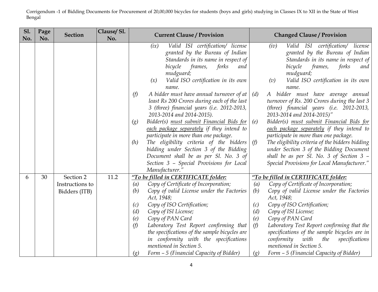| <b>S1.</b><br>No. | Page<br>No. | <b>Section</b>                                | Clause/Sl.<br>No. | <b>Current Clause / Provision</b>                                                                                                                                                                                                                                                                                                                                                                                                                                                                                                                                                                                                                                                                                                                                  | <b>Changed Clause / Provision</b>                                                                                                                                                                                                                                                                                                                                                                                                                                                                                                                                                                                                                                                                                                            |
|-------------------|-------------|-----------------------------------------------|-------------------|--------------------------------------------------------------------------------------------------------------------------------------------------------------------------------------------------------------------------------------------------------------------------------------------------------------------------------------------------------------------------------------------------------------------------------------------------------------------------------------------------------------------------------------------------------------------------------------------------------------------------------------------------------------------------------------------------------------------------------------------------------------------|----------------------------------------------------------------------------------------------------------------------------------------------------------------------------------------------------------------------------------------------------------------------------------------------------------------------------------------------------------------------------------------------------------------------------------------------------------------------------------------------------------------------------------------------------------------------------------------------------------------------------------------------------------------------------------------------------------------------------------------------|
|                   |             |                                               |                   | Valid ISI certification/ license<br>(ix)<br>granted by the Bureau of Indian<br>Standards in its name in respect of<br>frames,<br>forks<br>bicycle<br>and<br>mudguard;<br>Valid ISO certification in its own<br>(x)<br>name.<br>A bidder must have annual turnover of at<br>(f)<br>least Rs 200 Crores during each of the last<br>3 (three) financial years (i.e. 2012-2013,<br>2013-2014 and 2014-2015).<br>Bidder(s) must submit Financial Bids for<br>$\left( g\right)$<br>each package separately if they intend to<br>participate in more than one package.<br>(h)<br>The eligibility criteria of the bidders<br>bidding under Section 3 of the Bidding<br>Document shall be as per Sl. No. 3 of<br>Section 3 - Special Provisions for Local<br>Manufacturer." | Valid ISI certification/ license<br>(iv)<br>granted by the Bureau of Indian<br>Standards in its name in respect of<br>bicycle<br>frames,<br>forks<br>and<br>mudguard;<br>(v)<br>Valid ISO certification in its own<br>name.<br>A bidder must have average annual<br>(d)<br>turnover of Rs. 200 Crores during the last 3<br>(three) financial years (i.e. $2012-2013$ ,<br>2013-2014 and 2014-2015)"<br>Bidder(s) must submit Financial Bids for<br>(e)<br>each package separately if they intend to<br>participate in more than one package.<br>The eligibility criteria of the bidders bidding<br>(f)<br>under Section 3 of the Bidding Document<br>shall be as per Sl. No. 3 of Section 3 -<br>Special Provisions for Local Manufacturer." |
| 6                 | 30          | Section 2<br>Instructions to<br>Bidders (ITB) | 11.2              | "To be filled in CERTIFICATE folder:<br>Copy of Certificate of Incorporation;<br>(a)<br>(b)<br>Copy of valid License under the Factories<br>Act, 1948;<br>Copy of ISO Certification;<br>(c)<br>Copy of ISI License;<br>(d)<br>(e)<br>Copy of PAN Card<br>(f)<br>Laboratory Test Report confirming that<br>the specifications of the sample bicycles are<br>in conformity with the specifications<br>mentioned in Section 5.<br>Form - 5 (Financial Capacity of Bidder)<br>$\left( g\right)$                                                                                                                                                                                                                                                                        | "To be filled in CERTIFICATE folder:<br>Copy of Certificate of Incorporation;<br>(a)<br>(b)<br>Copy of valid License under the Factories<br>Act, 1948;<br>(c)<br>Copy of ISO Certification;<br>(d)<br>Copy of ISI License;<br>(e)<br>Copy of PAN Card<br>(f)<br>Laboratory Test Report confirming that the<br>specifications of the sample bicycles are in<br>conformity with<br>the<br>specifications<br>mentioned in Section 5.<br>Form - 5 (Financial Capacity of Bidder)<br>(g)                                                                                                                                                                                                                                                          |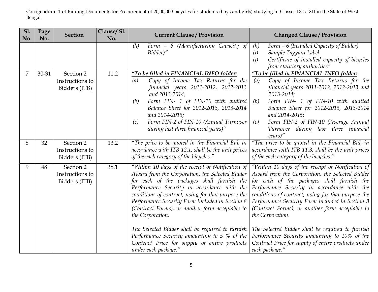| <b>S1.</b><br>No. | Page<br>No. | <b>Section</b>                                | Clause/Sl.<br>No. | <b>Current Clause / Provision</b>                                                                                                                                                                                                                                                                                                                                                                                                                                                                                                                             | <b>Changed Clause / Provision</b>                                                                                                                                                                                                                                                                                                                                                                                                                                                                                                                             |
|-------------------|-------------|-----------------------------------------------|-------------------|---------------------------------------------------------------------------------------------------------------------------------------------------------------------------------------------------------------------------------------------------------------------------------------------------------------------------------------------------------------------------------------------------------------------------------------------------------------------------------------------------------------------------------------------------------------|---------------------------------------------------------------------------------------------------------------------------------------------------------------------------------------------------------------------------------------------------------------------------------------------------------------------------------------------------------------------------------------------------------------------------------------------------------------------------------------------------------------------------------------------------------------|
|                   |             |                                               |                   | Form - 6 (Manufacturing Capacity of<br>(h)<br>Bidder)"                                                                                                                                                                                                                                                                                                                                                                                                                                                                                                        | Form - 6 (Installed Capacity of Bidder)<br>(h)<br>Sample Taggant Label<br>(i)<br>Certificate of installed capacity of bicycles<br>(i)<br>from statutory authorities"                                                                                                                                                                                                                                                                                                                                                                                          |
|                   | 30-31       | Section 2<br>Instructions to<br>Bidders (ITB) | 11.2              | "To be filled in FINANCIAL INFO folder:<br>Copy of Income Tax Returns for the<br>(a)<br>financial years 2011-2012, 2012-2013<br>and 2013-2014;<br>Form FIN- 1 of FIN-10 with audited<br>(b)<br>Balance Sheet for 2012-2013, 2013-2014<br>and 2014-2015;<br>Form FIN-2 of FIN-10 (Annual Turnover<br>(c)<br>during last three financial years)"                                                                                                                                                                                                                | "To be filled in FINANCIAL INFO folder:<br>Copy of Income Tax Returns for the<br>(a)<br>financial years 2011-2012, 2012-2013 and<br>2013-2014;<br>Form FIN- 1 of FIN-10 with audited<br>(b)<br>Balance Sheet for 2012-2013, 2013-2014<br>and 2014-2015;<br>Form FIN-2 of FIN-10 (Average Annual<br>(c)<br>Turnover during last three financial<br>years)''                                                                                                                                                                                                    |
| 8                 | 32          | Section 2<br>Instructions to<br>Bidders (ITB) | 13.2              | "The price to be quoted in the Financial Bid, in<br>accordance with ITB 12.1, shall be the unit prices<br>of the each category of the bicycles."                                                                                                                                                                                                                                                                                                                                                                                                              | "The price to be quoted in the Financial Bid, in<br>accordance with ITB 11.3, shall be the unit prices<br>of the each category of the bicycles."                                                                                                                                                                                                                                                                                                                                                                                                              |
| 9                 | 48          | Section 2<br>Instructions to<br>Bidders (ITB) | 38.1              | "Within 10 days of the receipt of Notification of<br>Award from the Corporation, the Selected Bidder<br>for each of the packages shall furnish the<br>Performance Security in accordance with the<br>conditions of contract, using for that purpose the<br>Performance Security Form included in Section 8<br>(Contract Forms), or another form acceptable to<br>the Corporation.<br>The Selected Bidder shall be required to furnish<br>Performance Security amounting to 5 % of the<br>Contract Price for supply of entire products<br>under each package." | "Within 10 days of the receipt of Notification of<br>Award from the Corporation, the Selected Bidder<br>for each of the packages shall furnish the<br>Performance Security in accordance with the<br>conditions of contract, using for that purpose the<br>Performance Security Form included in Section 8<br>(Contract Forms), or another form acceptable to<br>the Corporation.<br>The Selected Bidder shall be required to furnish<br>Performance Security amounting to 10% of the<br>Contract Price for supply of entire products under<br>each package." |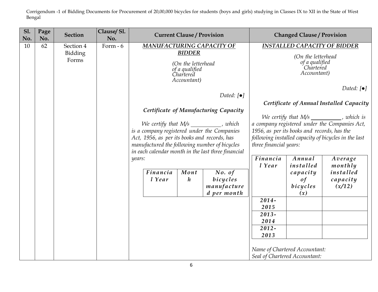| <b>S1.</b><br>No. | Page<br>No. | <b>Section</b>                | Clause/Sl.<br>No. |                                                                                                                                                                                                                                                                                                                                                                                                                                             | <b>Current Clause / Provision</b> |                                                  |                                                                                                                                                                                                                                                                                                                                                                            | <b>Changed Clause / Provision</b>                                                                                          |                                                       |  |
|-------------------|-------------|-------------------------------|-------------------|---------------------------------------------------------------------------------------------------------------------------------------------------------------------------------------------------------------------------------------------------------------------------------------------------------------------------------------------------------------------------------------------------------------------------------------------|-----------------------------------|--------------------------------------------------|----------------------------------------------------------------------------------------------------------------------------------------------------------------------------------------------------------------------------------------------------------------------------------------------------------------------------------------------------------------------------|----------------------------------------------------------------------------------------------------------------------------|-------------------------------------------------------|--|
| 10                | 62          | Section 4<br>Bidding<br>Forms | Form $-6$         | MANUFACTURING CAPACITY OF<br><b>BIDDER</b><br>(On the letterhead<br>of a qualified<br>Chartered<br>Accountant)<br>Dated: $\lceil \bullet \rceil$<br>Certificate of Manufacturing Capacity<br>We certify that $M/s$ ___________, which<br>is a company registered under the Companies<br>Act, 1956, as per its books and records, has<br>manufactured the following number of bicycles<br>in each calendar month in the last three financial |                                   |                                                  | (On the letterhead<br>of a qualified<br>Chartered<br>Accountant)<br>Dated: $\lceil \bullet \rceil$<br>Certificate of Annual Installed Capacity<br>We certify that M/s ________, which is<br>a company registered under the Companies Act,<br>1956, as per its books and records, has the<br>following installed capacity of bicycles in the last<br>three financial years: |                                                                                                                            |                                                       |  |
|                   |             |                               |                   | years:<br>Financia<br>l Year                                                                                                                                                                                                                                                                                                                                                                                                                | Mont<br>$\boldsymbol{h}$          | No. of<br>bicycles<br>manufacture<br>d per month | Financia<br>l Year<br>$2014 -$<br>2015<br>$2013 -$<br>2014<br>$2012 -$<br>2013                                                                                                                                                                                                                                                                                             | Annual<br>installed<br>capacity<br>of<br>bicycles<br>(x)<br>Name of Chartered Accountant:<br>Seal of Chartered Accountant: | Average<br>monthly<br>installed<br>capacity<br>(x/12) |  |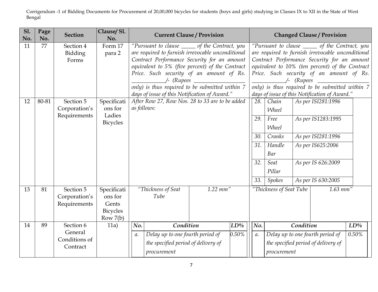| <b>S1.</b><br>No. | Page<br>No. | <b>Section</b>                                    | Clause/Sl.<br>No.                                                | <b>Current Clause / Provision</b>                                                                                                                                                                                                                                                                                                                      |  |  |                                        | <b>Changed Clause / Provision</b>                                                                    |                                                                                                                                                                                                                                                                                                                                                        |                                                                                                                                 |                 |
|-------------------|-------------|---------------------------------------------------|------------------------------------------------------------------|--------------------------------------------------------------------------------------------------------------------------------------------------------------------------------------------------------------------------------------------------------------------------------------------------------------------------------------------------------|--|--|----------------------------------------|------------------------------------------------------------------------------------------------------|--------------------------------------------------------------------------------------------------------------------------------------------------------------------------------------------------------------------------------------------------------------------------------------------------------------------------------------------------------|---------------------------------------------------------------------------------------------------------------------------------|-----------------|
| 11                | 77          | Section 4<br>Bidding<br>Forms                     | Form 17<br>para 2                                                | "Pursuant to clause ______ of the Contract, you<br>are required to furnish irrevocable unconditional<br>Contract Performance Security for an amount<br>equivalent to 5% (five percent) of the Contract<br>Price. Such security of an amount of Rs.<br>only) is thus required to be submitted within 7<br>days of issue of this Notification of Award." |  |  |                                        |                                                                                                      | "Pursuant to clause ______ of the Contract, you<br>are required to furnish irrevocable unconditional<br>Contract Performance Security for an amount<br>equivalent to 10% (ten percent) of the Contract<br>Price. Such security of an amount of Rs.<br>only) is thus required to be submitted within 7<br>days of issue of this Notification of Award." |                                                                                                                                 |                 |
| 12                | 80-81       | Section 5<br>Corporation's<br>Requirements        | Specificati<br>ons for<br>Ladies<br><b>Bicycles</b>              | After Row 27, Row Nos. 28 to 33 are to be added<br>as follows:                                                                                                                                                                                                                                                                                         |  |  | 28.<br>29.<br>30.<br>31.<br>32.<br>33. | Chain<br><b>Wheel</b><br>Free<br><b>Wheel</b><br>Cranks<br>Handle<br>Bar<br>Seat<br>Pillar<br>Spokes |                                                                                                                                                                                                                                                                                                                                                        | As per ISI281:1996<br>As per IS1283:1995<br>As per ISI281:1996<br>As per IS625:2006<br>As per IS 626:2009<br>As per IS 630:2005 |                 |
| 13                | 81          | Section 5<br>Corporation's<br>Requirements        | Specificati<br>ons for<br>Gents<br><b>Bicycles</b><br>Row $7(b)$ | $1.22$ mm"<br>"Thickness of Seat<br>Tube                                                                                                                                                                                                                                                                                                               |  |  | "Thickness of Seat Tube                |                                                                                                      | $1.63$ mm"                                                                                                                                                                                                                                                                                                                                             |                                                                                                                                 |                 |
| 14                | 89          | Section 6<br>General<br>Conditions of<br>Contract | 11a)                                                             | Condition<br>No.<br>LD%<br>0.50%<br>Delay up to one fourth period of<br>$a$ .<br>the specified period of delivery of<br>procurement                                                                                                                                                                                                                    |  |  | No.<br>а.                              | procurement                                                                                          | Condition                                                                                                                                                                                                                                                                                                                                              | Delay up to one fourth period of<br>the specified period of delivery of                                                         | $LD\%$<br>0.50% |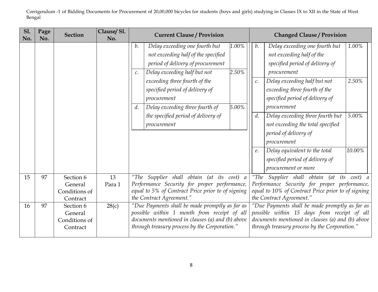| <b>S1.</b><br>No. | Page<br>No. | <b>Section</b>                                    | Clause/Sl.<br>No. | <b>Current Clause / Provision</b><br><b>Changed Clause / Provision</b>                                                                                                                                                                                                                                                                                                                                   |  |
|-------------------|-------------|---------------------------------------------------|-------------------|----------------------------------------------------------------------------------------------------------------------------------------------------------------------------------------------------------------------------------------------------------------------------------------------------------------------------------------------------------------------------------------------------------|--|
|                   |             |                                                   |                   | Delay exceeding one fourth but<br>1.00%<br>Delay exceeding one fourth but<br>1.00%<br>b.<br>b.<br>not exceeding half of the specified<br>not exceeding half of the<br>specified period of delivery of<br>period of delivery of procurement<br>2.50%<br>Delay exceeding half but not<br>procurement<br>$\mathcal{C}$ .                                                                                    |  |
|                   |             |                                                   |                   | 2.50%<br>exceeding three fourth of the<br>Delay exceeding half but not<br>$\mathcal{C}.$<br>specified period of delivery of<br>exceeding three fourth of the<br>specified period of delivery of<br>procurement<br>5.00%<br>Delay exceeding three fourth of<br>d.<br>procurement                                                                                                                          |  |
|                   |             |                                                   |                   | d.<br>5.00%<br>Delay exceeding three fourth but<br>the specified period of delivery of<br>not exceeding the total specified<br>procurement<br>period of delivery of<br>procurement                                                                                                                                                                                                                       |  |
|                   |             |                                                   |                   | 10.00%<br>Delay equivalent to the total<br>е.<br>specified period of delivery of<br>procurement or more                                                                                                                                                                                                                                                                                                  |  |
| 15                | 97          | Section 6<br>General<br>Conditions of<br>Contract | 13<br>Para 1      | "The Supplier shall obtain (at its cost) a<br>"The Supplier shall obtain (at its cost) a<br>Performance Security for proper performance,<br>Performance Security for proper performance,<br>equal to 5% of Contract Price prior to of signing<br>equal to 10% of Contract Price prior to of signing<br>the Contract Agreement."<br>the Contract Agreement."                                              |  |
| 16                | 97          | Section 6<br>General<br>Conditions of<br>Contract | 28(c)             | "Due Payments shall be made promptly as far as<br>"Due Payments shall be made promptly as far as<br>possible within 1 month from receipt of all<br>possible within 15 days from receipt of all<br>documents mentioned in clauses (a) and (b) above<br>documents mentioned in clauses (a) and (b) above<br>through treasury process by the Corporation."<br>through treasury process by the Corporation." |  |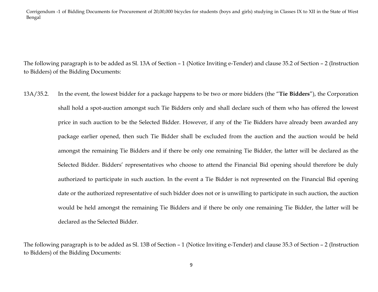The following paragraph is to be added as Sl. 13A of Section – 1 (Notice Inviting e-Tender) and clause 35.2 of Section – 2 (Instruction to Bidders) of the Bidding Documents:

13A/35.2. In the event, the lowest bidder for a package happens to be two or more bidders (the "**Tie Bidders**"), the Corporation shall hold a spot-auction amongst such Tie Bidders only and shall declare such of them who has offered the lowest price in such auction to be the Selected Bidder. However, if any of the Tie Bidders have already been awarded any package earlier opened, then such Tie Bidder shall be excluded from the auction and the auction would be held amongst the remaining Tie Bidders and if there be only one remaining Tie Bidder, the latter will be declared as the Selected Bidder. Bidders' representatives who choose to attend the Financial Bid opening should therefore be duly authorized to participate in such auction. In the event a Tie Bidder is not represented on the Financial Bid opening date or the authorized representative of such bidder does not or is unwilling to participate in such auction, the auction would be held amongst the remaining Tie Bidders and if there be only one remaining Tie Bidder, the latter will be declared as the Selected Bidder.

The following paragraph is to be added as Sl. 13B of Section – 1 (Notice Inviting e-Tender) and clause 35.3 of Section – 2 (Instruction to Bidders) of the Bidding Documents: